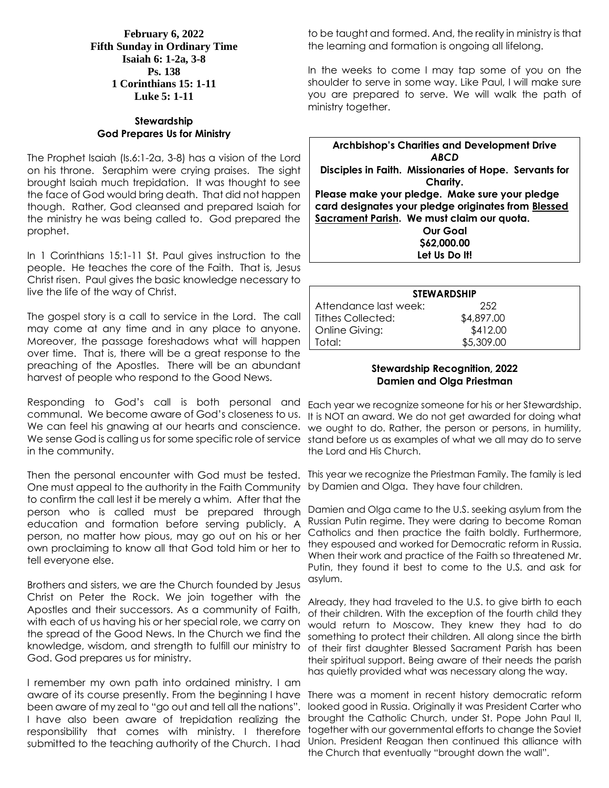**February 6, 2022 Fifth Sunday in Ordinary Time Isaiah 6: 1-2a, 3-8 Ps. 138 1 Corinthians 15: 1-11 Luke 5: 1-11**

## **Stewardship God Prepares Us for Ministry**

The Prophet Isaiah (Is.6:1-2a, 3-8) has a vision of the Lord on his throne. Seraphim were crying praises. The sight brought Isaiah much trepidation. It was thought to see the face of God would bring death. That did not happen though. Rather, God cleansed and prepared Isaiah for the ministry he was being called to. God prepared the prophet.

In 1 Corinthians 15:1-11 St. Paul gives instruction to the people. He teaches the core of the Faith. That is, Jesus Christ risen. Paul gives the basic knowledge necessary to live the life of the way of Christ.

The gospel story is a call to service in the Lord. The call may come at any time and in any place to anyone. Moreover, the passage foreshadows what will happen over time. That is, there will be a great response to the preaching of the Apostles. There will be an abundant harvest of people who respond to the Good News.

Responding to God's call is both personal and <sub>Each year we recognize someone for his or her Stewardship.</sub> in the community.

Then the personal encounter with God must be tested. This year we recognize the Priestman Family. The family is led One must appeal to the authority in the Faith Community by Damien and Olga. They have four children. to confirm the call lest it be merely a whim. After that the education and formation before serving publicly. A person, no matter how pious, may go out on his or her own proclaiming to know all that God told him or her to tell everyone else.

Brothers and sisters, we are the Church founded by Jesus Christ on Peter the Rock. We join together with the Apostles and their successors. As a community of Faith, with each of us having his or her special role, we carry on the spread of the Good News. In the Church we find the knowledge, wisdom, and strength to fulfill our ministry to God. God prepares us for ministry.

I remember my own path into ordained ministry. I am aware of its course presently. From the beginning I have There was a moment in recent history democratic reform been aware of my zeal to "go out and tell all the nations". I have also been aware of trepidation realizing the responsibility that comes with ministry. I therefore together with our governmental efforts to change the Soviet submitted to the teaching authority of the Church. I had

to be taught and formed. And, the reality in ministry is that the learning and formation is ongoing all lifelong.

In the weeks to come I may tap some of you on the shoulder to serve in some way. Like Paul, I will make sure you are prepared to serve. We will walk the path of ministry together.

**Archbishop's Charities and Development Drive** *ABCD* **Disciples in Faith. Missionaries of Hope. Servants for Charity. Please make your pledge. Make sure your pledge card designates your pledge originates from Blessed Sacrament Parish. We must claim our quota. Our Goal \$62,000.00 Let Us Do It!**

| <b>STEWARDSHIP</b>    |            |  |  |
|-----------------------|------------|--|--|
| Attendance last week: | 252        |  |  |
| Tithes Collected:     | \$4,897.00 |  |  |
| Online Giving:        | \$412.00   |  |  |
| Total:                | \$5,309.00 |  |  |

## **Stewardship Recognition, 2022 Damien and Olga Priestman**

communal. We become aware of God's closeness to us. It is NOT an award. We do not get awarded for doing what We can feel his gnawing at our hearts and conscience. we ought to do. Rather, the person or persons, in humility, We sense God is calling us for some specific role of service stand before us as examples of what we all may do to serve the Lord and His Church.

person who is called must be prepared through Damien and Olga came to the U.S. seeking asylum from the Russian Putin regime. They were daring to become Roman Catholics and then practice the faith boldly. Furthermore, they espoused and worked for Democratic reform in Russia. When their work and practice of the Faith so threatened Mr. Putin, they found it best to come to the U.S. and ask for asylum.

> Already, they had traveled to the U.S. to give birth to each of their children. With the exception of the fourth child they would return to Moscow. They knew they had to do something to protect their children. All along since the birth of their first daughter Blessed Sacrament Parish has been their spiritual support. Being aware of their needs the parish has quietly provided what was necessary along the way.

> looked good in Russia. Originally it was President Carter who brought the Catholic Church, under St. Pope John Paul II, Union. President Reagan then continued this alliance with the Church that eventually "brought down the wall".